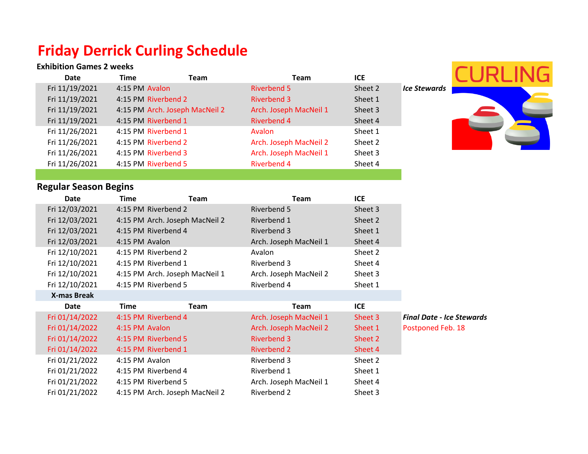## **Friday Derrick Curling Schedule**

## **Exhibition Games 2 weeks**

| <b>Exhibition Games 2 weeks</b> |                     |                                |                        |            |                                  |
|---------------------------------|---------------------|--------------------------------|------------------------|------------|----------------------------------|
| <b>Date</b>                     | <b>Time</b>         | <b>Team</b>                    | <b>Team</b>            | <b>ICE</b> |                                  |
| Fri 11/19/2021                  | 4:15 PM Avalon      |                                | <b>Riverbend 5</b>     | Sheet 2    | <b>Ice Stewards</b>              |
| Fri 11/19/2021                  | 4:15 PM Riverbend 2 |                                | <b>Riverbend 3</b>     | Sheet 1    |                                  |
| Fri 11/19/2021                  |                     | 4:15 PM Arch. Joseph MacNeil 2 | Arch. Joseph MacNeil 1 | Sheet 3    |                                  |
| Fri 11/19/2021                  | 4:15 PM Riverbend 1 |                                | <b>Riverbend 4</b>     | Sheet 4    |                                  |
| Fri 11/26/2021                  | 4:15 PM Riverbend 1 |                                | Avalon                 | Sheet 1    |                                  |
| Fri 11/26/2021                  | 4:15 PM Riverbend 2 |                                | Arch. Joseph MacNeil 2 | Sheet 2    |                                  |
| Fri 11/26/2021                  | 4:15 PM Riverbend 3 |                                | Arch. Joseph MacNeil 1 | Sheet 3    |                                  |
| Fri 11/26/2021                  | 4:15 PM Riverbend 5 |                                | <b>Riverbend 4</b>     | Sheet 4    |                                  |
|                                 |                     |                                |                        |            |                                  |
| <b>Regular Season Begins</b>    |                     |                                |                        |            |                                  |
| <b>Date</b>                     | <b>Time</b>         | <b>Team</b>                    | <b>Team</b>            | <b>ICE</b> |                                  |
| Fri 12/03/2021                  | 4:15 PM Riverbend 2 |                                | Riverbend 5            | Sheet 3    |                                  |
| Fri 12/03/2021                  |                     | 4:15 PM Arch. Joseph MacNeil 2 | Riverbend 1            | Sheet 2    |                                  |
| Fri 12/03/2021                  | 4:15 PM Riverbend 4 |                                | Riverbend 3            | Sheet 1    |                                  |
| Fri 12/03/2021                  | 4:15 PM Avalon      |                                | Arch. Joseph MacNeil 1 | Sheet 4    |                                  |
| Fri 12/10/2021                  | 4:15 PM Riverbend 2 |                                | Avalon                 | Sheet 2    |                                  |
| Fri 12/10/2021                  | 4:15 PM Riverbend 1 |                                | Riverbend 3            | Sheet 4    |                                  |
| Fri 12/10/2021                  |                     | 4:15 PM Arch. Joseph MacNeil 1 | Arch. Joseph MacNeil 2 | Sheet 3    |                                  |
| Fri 12/10/2021                  | 4:15 PM Riverbend 5 |                                | Riverbend 4            | Sheet 1    |                                  |
| <b>X-mas Break</b>              |                     |                                |                        |            |                                  |
| <b>Date</b>                     | <b>Time</b>         | <b>Team</b>                    | <b>Team</b>            | <b>ICE</b> |                                  |
| Fri 01/14/2022                  | 4:15 PM Riverbend 4 |                                | Arch. Joseph MacNeil 1 | Sheet 3    | <b>Final Date - Ice Stewards</b> |
| Fri 01/14/2022                  | 4:15 PM Avalon      |                                | Arch. Joseph MacNeil 2 | Sheet 1    | Postponed Feb. 18                |
| Fri 01/14/2022                  | 4:15 PM Riverbend 5 |                                | <b>Riverbend 3</b>     | Sheet 2    |                                  |
| Fri 01/14/2022                  | 4:15 PM Riverbend 1 |                                | <b>Riverbend 2</b>     | Sheet 4    |                                  |
| Fri 01/21/2022                  | 4:15 PM Avalon      |                                | Riverbend 3            | Sheet 2    |                                  |
| Fri 01/21/2022                  | 4:15 PM Riverbend 4 |                                | Riverbend 1            | Sheet 1    |                                  |
| Fri 01/21/2022                  | 4:15 PM Riverbend 5 |                                | Arch. Joseph MacNeil 1 | Sheet 4    |                                  |
| Fri 01/21/2022                  |                     | 4:15 PM Arch. Joseph MacNeil 2 | Riverbend 2            | Sheet 3    |                                  |

S